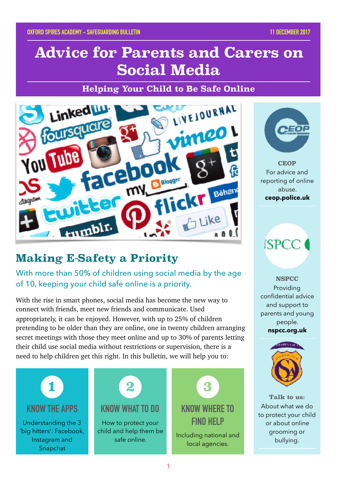# **Advice for Parents and Carers on Social Media**

**Helping Your Child to Be Safe Online**



### **Making E-Safety a Priority**

With more than 50% of children using social media by the age of 10, keeping your child safe online is a priority.

With the rise in smart phones, social media has become the new way to connect with friends, meet new friends and communicate. Used appropriately, it can be enjoyed. However, with up to 25% of children pretending to be older than they are online, one in twenty children arranging secret meetings with those they meet online and up to 30% of parents letting their child use social media without restrictions or supervision, there is a need to help children get this right. In this bulletin, we will help you to:





**CEOP** For advice and reporting of online abuse. **ceop.police.uk**

**ISPCC** 

**NSPCC** Providing confidential advice and support to parents and young people. **nspcc.org.uk**



**Talk to us:** About what we do to protect your child or about online grooming or bullying.